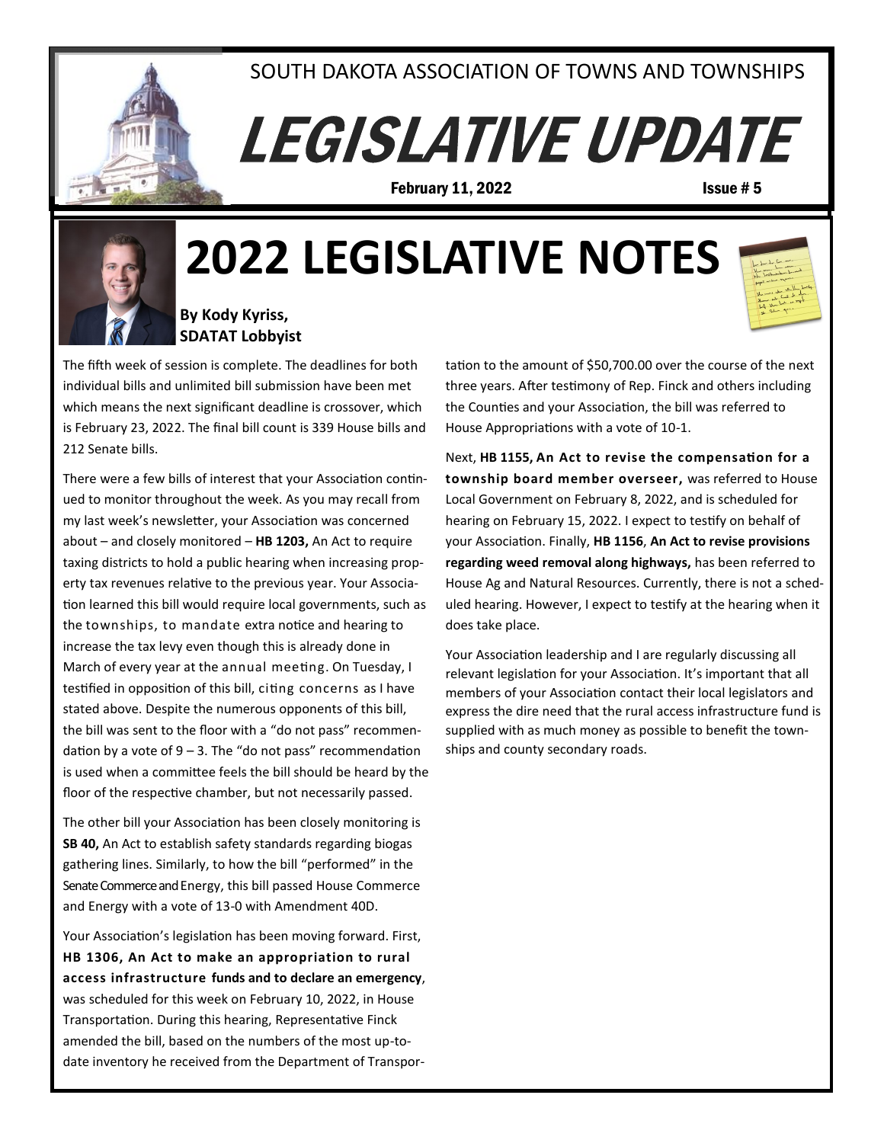

## SOUTH DAKOTA ASSOCIATION OF TOWNS AND TOWNSHIPS

# **LEGISLATIVE UPDATE**

**February 11, 2022 Issue # 5** 



## **2022 LEGISLATIVE NOTES**



#### **By Kody Kyriss, SDATAT Lobbyist**

The fifth week of session is complete. The deadlines for both individual bills and unlimited bill submission have been met which means the next significant deadline is crossover, which is February 23, 2022. The final bill count is 339 House bills and 212 Senate bills.

There were a few bills of interest that your Association continued to monitor throughout the week. As you may recall from my last week's newsletter, your Association was concerned about – and closely monitored – **HB 1203,** An Act to require taxing districts to hold a public hearing when increasing property tax revenues relative to the previous year. Your Association learned this bill would require local governments, such as the townships, to mandate extra notice and hearing to increase the tax levy even though this is already done in March of every year at the annual meeting. On Tuesday, I testified in opposition of this bill, citing concerns as I have stated above. Despite the numerous opponents of this bill, the bill was sent to the floor with a "do not pass" recommendation by a vote of  $9 - 3$ . The "do not pass" recommendation is used when a committee feels the bill should be heard by the floor of the respective chamber, but not necessarily passed.

The other bill your Association has been closely monitoring is **SB 40,** An Act to establish safety standards regarding biogas gathering lines. Similarly, to how the bill "performed" in the Senate Commerce and Energy, this bill passed House Commerce and Energy with a vote of 13-0 with Amendment 40D.

Your Association's legislation has been moving forward. First, **HB 1306, An Act to make an appropriation to rural access infrastructure funds and to declare an emergency**, was scheduled for this week on February 10, 2022, in House Transportation. During this hearing, Representative Finck amended the bill, based on the numbers of the most up-todate inventory he received from the Department of Transportation to the amount of \$50,700.00 over the course of the next three years. After testimony of Rep. Finck and others including the Counties and your Association, the bill was referred to House Appropriations with a vote of 10-1.

Next, **HB 1155, An Act to revise the compensation for a township board member overseer,** was referred to House Local Government on February 8, 2022, and is scheduled for hearing on February 15, 2022. I expect to testify on behalf of your Association. Finally, **HB 1156**, **An Act to revise provisions regarding weed removal along highways,** has been referred to House Ag and Natural Resources. Currently, there is not a scheduled hearing. However, I expect to testify at the hearing when it does take place.

Your Association leadership and I are regularly discussing all relevant legislation for your Association. It's important that all members of your Association contact their local legislators and express the dire need that the rural access infrastructure fund is supplied with as much money as possible to benefit the townships and county secondary roads.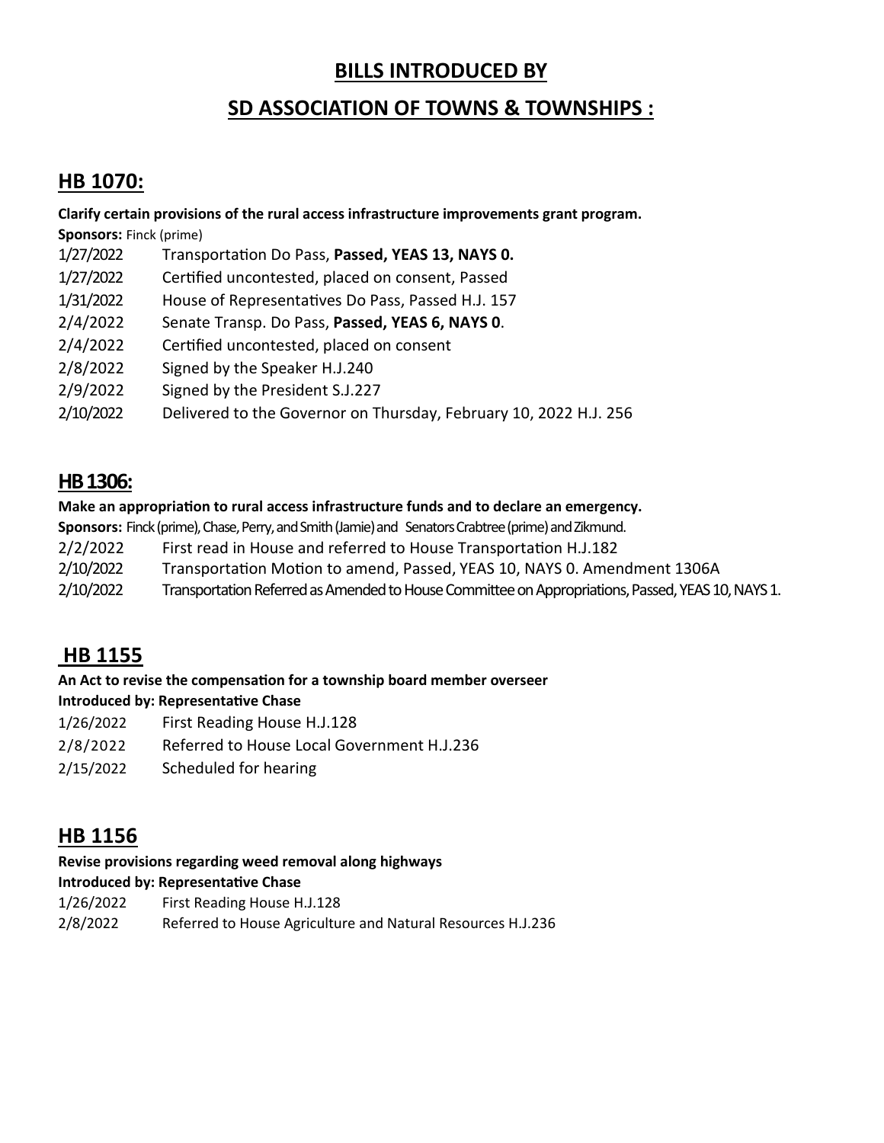## **BILLS INTRODUCED BY**

## **SD ASSOCIATION OF TOWNS & TOWNSHIPS :**

## **HB 1070:**

**Clarify certain provisions of the rural access infrastructure improvements grant program.** 

**Sponsors:** Finck (prime)

- 1/27/2022 Transportation Do Pass, **Passed, YEAS 13, NAYS 0.**
- 1/27/2022 Certified uncontested, placed on consent, Passed
- 1/31/2022 House of Representatives Do Pass, Passed H.J. 157
- 2/4/2022 Senate Transp. Do Pass, **Passed, YEAS 6, NAYS 0**.
- 2/4/2022 Certified uncontested, placed on consent
- 2/8/2022 Signed by the Speaker H.J.240
- 2/9/2022 Signed by the President S.J.227
- 2/10/2022 Delivered to the Governor on Thursday, February 10, 2022 H.J. 256

## **HB 1306:**

#### **Make an appropriation to rural access infrastructure funds and to declare an emergency.**

**Sponsors: Finck (prime), Chase, Perry, and Smith (Jamie) and Senators Crabtree (prime) and Zikmund.** 

- 2/2/2022 First read in House and referred to House Transportation H.J.182
- 2/10/2022 Transportation Motion to amend, Passed, YEAS 10, NAYS 0. Amendment 1306A
- 2/10/2022 Transportation Referred as Amended to House Committee on Appropriations, Passed, YEAS 10, NAYS 1.

## **HB 1155**

## **An Act to revise the compensation for a township board member overseer**

## **Introduced by: Representative Chase**

- 1/26/2022 First Reading House H.J.128
- 2/8/2022 Referred to House Local Government H.J.236
- 2/15/2022 Scheduled for hearing

## **HB 1156**

## **Revise provisions regarding weed removal along highways**

#### **Introduced by: Representative Chase**

- 1/26/2022 First Reading House H.J.128
- 2/8/2022 Referred to House Agriculture and Natural Resources H.J.236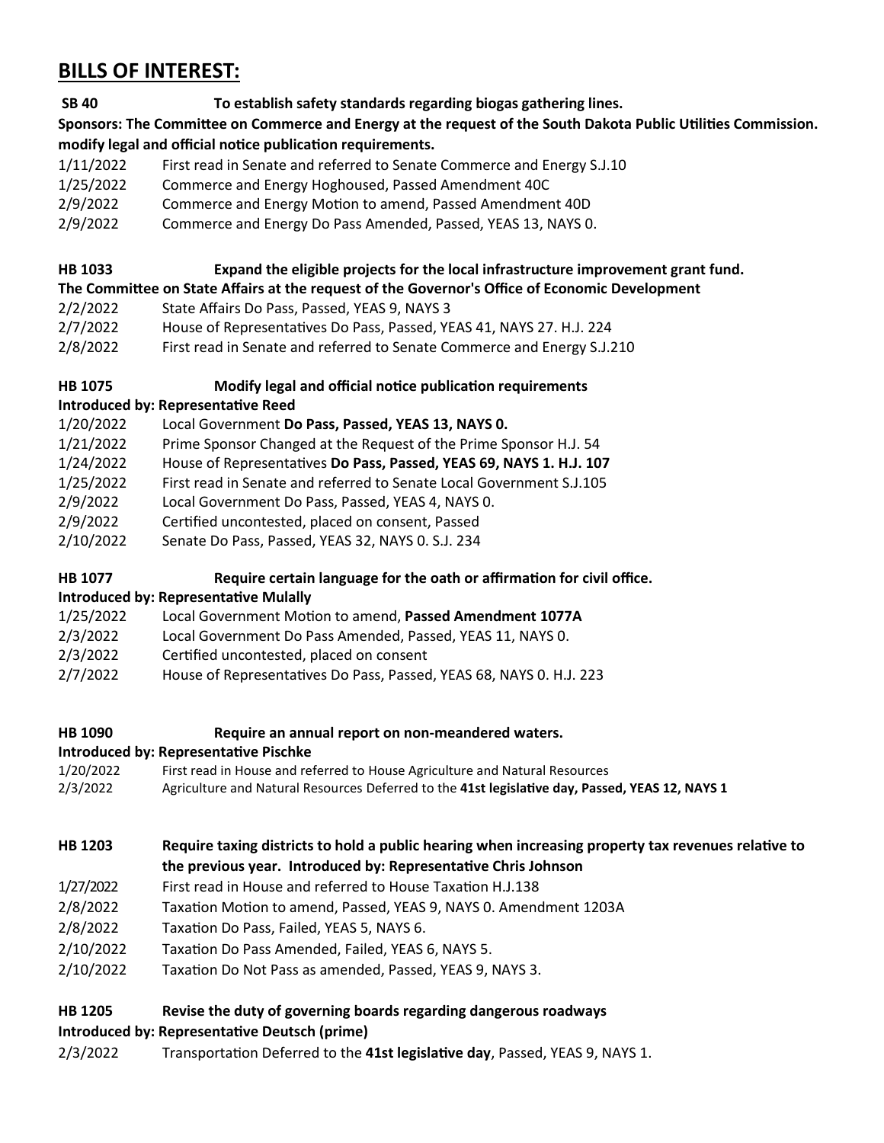## **BILLS OF INTEREST:**

**SB 40 To establish safety standards regarding biogas gathering lines.**

**Sponsors: The Committee on [Commerce and Energy](https://sdlegislature.gov/Session/Committee/1022/Detail) at the request of the South Dakota Public Utilities Commission. modify legal and official notice publication requirements.**

- 1/11/2022 First read in Senate and referred to Senate Commerce and Energy S.J.10
- 1/25/2022 Commerce and Energy Hoghoused, Passed Amendment 40C
- 2/9/2022 Commerce and Energy Motion to amend, Passed Amendment 40D
- 2/9/2022 Commerce and Energy Do Pass Amended, Passed, YEAS 13, NAYS 0.

## **HB 1033 Expand the eligible projects for the local infrastructure improvement grant fund.**

## **The Committee on State Affairs at the request of the Governor's Office of Economic Development**

- 2/2/2022 State Affairs Do Pass, Passed, YEAS 9, NAYS 3
- 2/7/2022 House of Representatives Do Pass, Passed, YEAS 41, NAYS 27. H.J. 224
- 2/8/2022 First read in Senate and referred to Senate Commerce and Energy S.J.210

## **HB 1075 Modify legal and official notice publication requirements**

## **Introduced by: Representative Reed**

- 1/20/2022 Local Government **Do Pass, Passed, YEAS 13, NAYS 0.**
- 1/21/2022 Prime Sponsor Changed at the Request of the Prime Sponsor H.J. 54
- 1/24/2022 House of Representatives **Do Pass, Passed, YEAS 69, NAYS 1. H.J. 107**
- 1/25/2022 First read in Senate and referred to Senate Local Government S.J.105
- 2/9/2022 Local Government Do Pass, Passed, YEAS 4, NAYS 0.
- 2/9/2022 Certified uncontested, placed on consent, Passed
- 2/10/2022 Senate Do Pass, Passed, YEAS 32, NAYS 0. S.J. 234

## **HB 1077 Require certain language for the oath or affirmation for civil office.**

## **Introduced by: Representative Mulally**

## 1/25/2022 Local Government Motion to amend, **Passed Amendment 1077A**

- 2/3/2022 Local Government Do Pass Amended, Passed, YEAS 11, NAYS 0.
- 2/3/2022 Certified uncontested, placed on consent
- 2/7/2022 House of Representatives Do Pass, Passed, YEAS 68, NAYS 0. H.J. 223
- **HB 1090 Require an annual report on non-meandered waters.**

## **Introduced by: Representative Pischke**

- 1/20/2022 First read in House and referred to House Agriculture and Natural Resources 2/3/2022 Agriculture and Natural Resources Deferred to the **41st legislative day, Passed, YEAS 12, NAYS 1**
- **HB 1203 Require taxing districts to hold a public hearing when increasing property tax revenues relative to the previous year. Introduced by: Representative Chris Johnson**
- 1/27/2022 First read in House and referred to House Taxation H.J.138
- 2/8/2022 Taxation Motion to amend, Passed, YEAS 9, NAYS 0. Amendment 1203A
- 2/8/2022 Taxation Do Pass, Failed, YEAS 5, NAYS 6.
- 2/10/2022 Taxation Do Pass Amended, Failed, YEAS 6, NAYS 5.
- 2/10/2022 Taxation Do Not Pass as amended, Passed, YEAS 9, NAYS 3.

## **HB 1205 Revise the duty of governing boards regarding dangerous roadways**

## **Introduced by: Representative Deutsch (prime)**

2/3/2022 Transportation Deferred to the **41st legislative day**, Passed, YEAS 9, NAYS 1.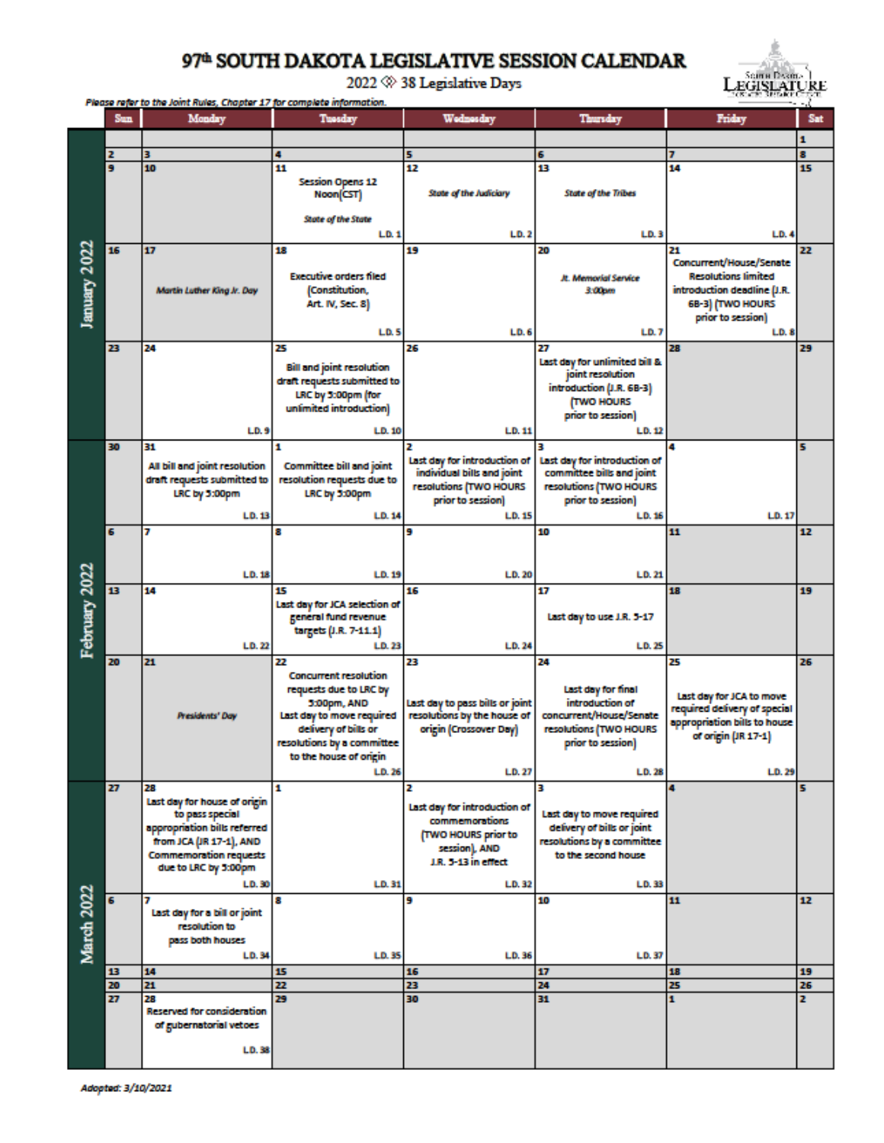## 97<sup>th</sup> SOUTH DAKOTA LEGISLATIVE SESSION CALENDAR



2022  $\otimes$  38 Legislative Days

|               | <b>AD ALC: ACCOUNTS</b><br>Please refer to the Joint Rules, Chapter 17 for complete information. |                                                       |                                  |                                 |                               |                              | <b>ALC</b> |
|---------------|--------------------------------------------------------------------------------------------------|-------------------------------------------------------|----------------------------------|---------------------------------|-------------------------------|------------------------------|------------|
|               | <b>Sun</b>                                                                                       | Monday                                                | Tuesday                          | Wednesday                       | Thursday                      | Friday                       | Sat        |
|               |                                                                                                  |                                                       |                                  |                                 |                               |                              |            |
|               |                                                                                                  |                                                       |                                  |                                 |                               |                              | 1          |
|               | z                                                                                                | з                                                     | 4                                | 5                               | 6                             |                              | 8          |
|               | 9                                                                                                | 10                                                    | 11                               | 12                              | 13                            | 14                           | 15         |
|               |                                                                                                  |                                                       | <b>Session Opens 12</b>          |                                 |                               |                              |            |
|               |                                                                                                  |                                                       | Noon(CST)                        | State of the Judiciary          | <b>State of the Tribes</b>    |                              |            |
|               |                                                                                                  |                                                       |                                  |                                 |                               |                              |            |
|               |                                                                                                  |                                                       | State of the State               |                                 |                               |                              |            |
|               |                                                                                                  |                                                       | LD.1                             | LD.2                            | LD.3                          | LD.4                         |            |
|               | 16                                                                                               | 17                                                    | 18                               | 19                              | 20                            | 21                           | 22         |
|               |                                                                                                  |                                                       |                                  |                                 |                               | Concurrent/House/Senate      |            |
| January 2022  |                                                                                                  |                                                       | <b>Executive orders filed</b>    |                                 | <b>R. Memorial Service</b>    | <b>Resolutions limited</b>   |            |
|               |                                                                                                  | Martin Luther King Jr. Day                            | (Constitution,                   |                                 | 3.00pm                        | introduction deadline (J.R.  |            |
|               |                                                                                                  |                                                       | Art. IV, Sec. 8)                 |                                 |                               | 6B-3) (TWO HOURS             |            |
|               |                                                                                                  |                                                       |                                  |                                 |                               |                              |            |
|               |                                                                                                  |                                                       |                                  |                                 |                               | prior to session)            |            |
|               |                                                                                                  |                                                       | LD.5                             | LD.6                            | LD. 7                         | LD.8                         |            |
|               | 23                                                                                               | 24                                                    | 25                               | 26                              | 27                            | 28                           | 29         |
|               |                                                                                                  |                                                       | <b>Bill and joint resolution</b> |                                 | Last day for unlimited bill & |                              |            |
|               |                                                                                                  |                                                       | draft requests submitted to      |                                 | joint resolution              |                              |            |
|               |                                                                                                  |                                                       |                                  |                                 | introduction (J.R. 68-3)      |                              |            |
|               |                                                                                                  |                                                       | LRC by 3:00pm (for               |                                 | <b>TWO HOURS</b>              |                              |            |
|               |                                                                                                  |                                                       | unlimited introduction)          |                                 | prior to session)             |                              |            |
|               |                                                                                                  | LD.9                                                  | LD.10                            | LD.11                           | LD. 12                        |                              |            |
|               | 30                                                                                               | 31                                                    | 1                                | 2                               | 3                             |                              | 5          |
| February 2022 |                                                                                                  |                                                       |                                  | Last day for introduction of    | Last day for introduction of  |                              |            |
|               |                                                                                                  | All bill and joint resolution                         | <b>Committee bill and joint</b>  | individual bills and joint      | committee bills and joint     |                              |            |
|               |                                                                                                  | draft requests submitted to                           | resolution requests due to       |                                 |                               |                              |            |
|               |                                                                                                  | LRC by 5:00pm                                         | LRC by 5:00pm                    | resolutions (TWO HOURS          | resolutions (TWO HOURS        |                              |            |
|               |                                                                                                  |                                                       |                                  | prior to session)               | prior to session)             |                              |            |
|               |                                                                                                  | LD.13                                                 | LD. 14                           | LD.15                           | LD.16                         | LD.17                        |            |
|               | 6                                                                                                | 7                                                     | 8                                | 9                               | 10                            | 11                           | 12         |
|               |                                                                                                  |                                                       |                                  |                                 |                               |                              |            |
|               |                                                                                                  |                                                       |                                  |                                 |                               |                              |            |
|               |                                                                                                  | LD.18                                                 | LD.19                            | LD. 20                          | LD.21                         |                              |            |
|               | 13                                                                                               | 14                                                    | 15                               | 16                              | 17                            | 18                           | 19         |
|               |                                                                                                  |                                                       | Last day for JCA selection of    |                                 |                               |                              |            |
|               |                                                                                                  |                                                       | general fund revenue             |                                 | Last day to use J.R. 5-17     |                              |            |
|               |                                                                                                  |                                                       | targets (J.R. 7-11.1)            |                                 |                               |                              |            |
|               |                                                                                                  |                                                       |                                  |                                 |                               |                              |            |
|               |                                                                                                  | LD.22                                                 | LD.23                            | LD.24                           | LD. 25                        |                              |            |
|               | 20                                                                                               | 21                                                    | 22                               | 23                              | 24                            | 25                           | 26         |
|               |                                                                                                  |                                                       | <b>Concurrent resolution</b>     |                                 |                               |                              |            |
|               |                                                                                                  |                                                       | requests due to LRC by           |                                 | Last day for final            | Last day for JCA to move     |            |
|               |                                                                                                  |                                                       | 5:00pm, AND                      | Last day to pass bills or joint | introduction of               | required delivery of special |            |
|               |                                                                                                  | Presidents' Day                                       | Last day to move required        | resolutions by the house of     | concurrent/House/Senate       | appropriation bills to house |            |
|               |                                                                                                  |                                                       | delivery of bills or             | origin (Crossover Day)          | resolutions (TWO HOURS        | of origin (JR 17-1)          |            |
|               |                                                                                                  |                                                       | resolutions by a committee       |                                 | prior to session)             |                              |            |
|               |                                                                                                  |                                                       | to the house of origin           |                                 |                               |                              |            |
|               |                                                                                                  |                                                       | LD. 26                           | LD.27                           | LD. 28                        | LD. 29                       |            |
|               | 27                                                                                               | 28                                                    | 1                                | 2                               | з                             | 4                            | 5          |
| March 2022    |                                                                                                  | Last day for house of origin                          |                                  |                                 |                               |                              |            |
|               |                                                                                                  | to pass special                                       |                                  | Last day for introduction of    | Last day to move required     |                              |            |
|               |                                                                                                  | appropriation bills referred                          |                                  | commemorations                  | delivery of bills or joint    |                              |            |
|               |                                                                                                  | from JCA (JR 17-1), AND                               |                                  | <b>TWO HOURS prior to</b>       | resolutions by a committee    |                              |            |
|               |                                                                                                  |                                                       |                                  | session), AND                   |                               |                              |            |
|               |                                                                                                  | <b>Commemoration requests</b><br>due to LRC by 5:00pm |                                  | J.R. 5-13 in effect             | to the second house           |                              |            |
|               |                                                                                                  |                                                       |                                  |                                 |                               |                              |            |
|               |                                                                                                  | LD.30                                                 | LD.31                            | LD.32                           | LD. 33                        |                              |            |
|               | 6                                                                                                |                                                       | 8                                | 9                               | 10                            | 11                           | 12         |
|               |                                                                                                  | Last day for a bill or joint                          |                                  |                                 |                               |                              |            |
|               |                                                                                                  | resolution to                                         |                                  |                                 |                               |                              |            |
|               |                                                                                                  | pass both houses                                      |                                  |                                 |                               |                              |            |
|               |                                                                                                  | LD.34                                                 | <b>LD.35</b>                     | LD.36                           | LD.37                         |                              |            |
|               | 13                                                                                               | 14                                                    | 15                               | 16                              | 17                            | 18                           | 19         |
|               | 20                                                                                               | 21                                                    | 22                               | 23                              | 24                            | 25                           | 26         |
|               | 27                                                                                               | 28                                                    | 29                               | 30                              | 31                            | 1                            | z          |
|               |                                                                                                  | <b>Reserved for consideration</b>                     |                                  |                                 |                               |                              |            |
|               |                                                                                                  | of gubernatorial vetoes                               |                                  |                                 |                               |                              |            |
|               |                                                                                                  |                                                       |                                  |                                 |                               |                              |            |
|               |                                                                                                  | LD.38                                                 |                                  |                                 |                               |                              |            |
|               |                                                                                                  |                                                       |                                  |                                 |                               |                              |            |
|               |                                                                                                  |                                                       |                                  |                                 |                               |                              |            |